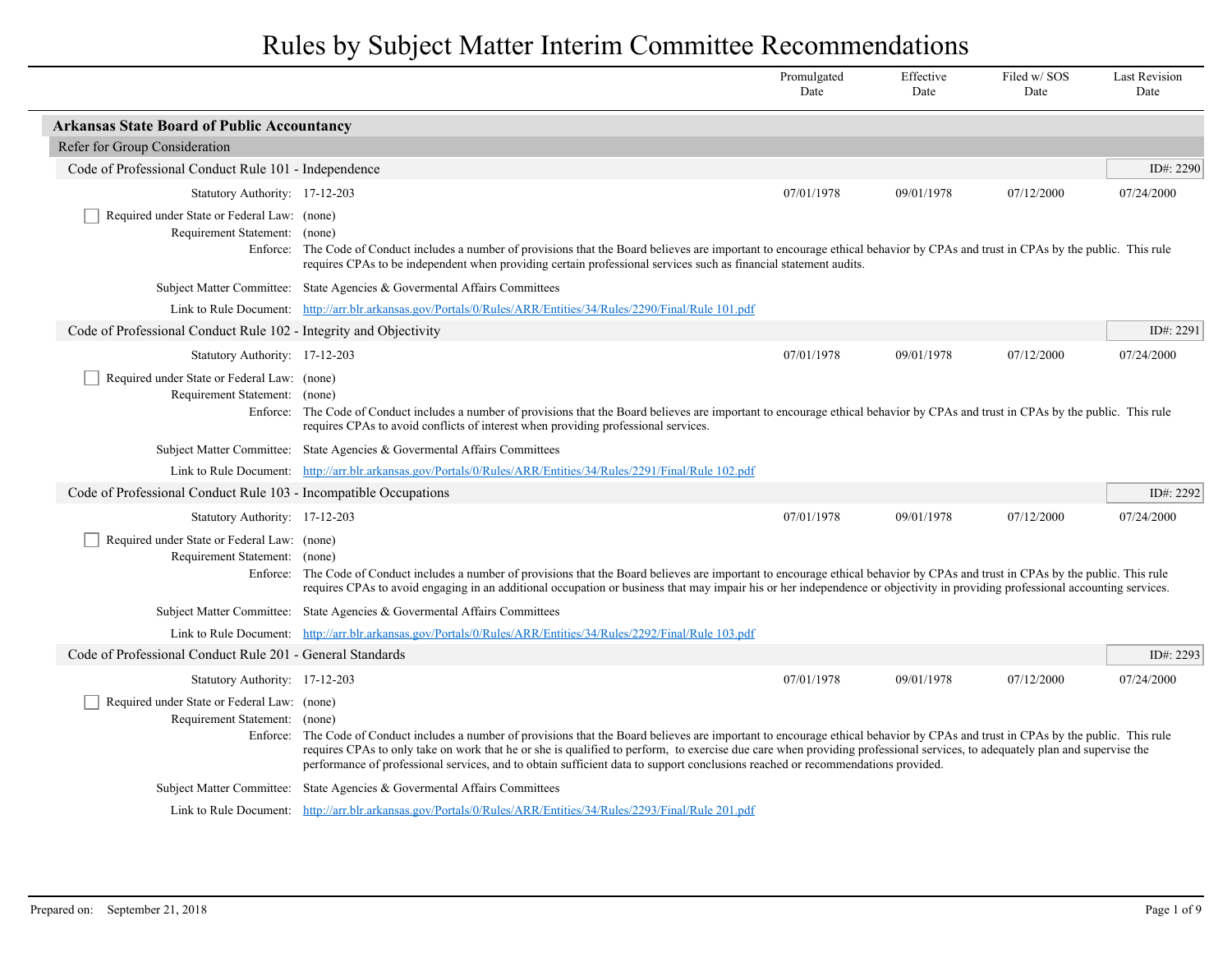|                                                                                                                                                                                                                                                                                                                                                           |                                                                                                                                                                                                                                                                                                                                                                                                                                                                                                      | Promulgated<br>Date | Effective<br>Date | Filed w/SOS<br>Date | <b>Last Revision</b><br>Date |
|-----------------------------------------------------------------------------------------------------------------------------------------------------------------------------------------------------------------------------------------------------------------------------------------------------------------------------------------------------------|------------------------------------------------------------------------------------------------------------------------------------------------------------------------------------------------------------------------------------------------------------------------------------------------------------------------------------------------------------------------------------------------------------------------------------------------------------------------------------------------------|---------------------|-------------------|---------------------|------------------------------|
| <b>Arkansas State Board of Public Accountancy</b>                                                                                                                                                                                                                                                                                                         |                                                                                                                                                                                                                                                                                                                                                                                                                                                                                                      |                     |                   |                     |                              |
| Refer for Group Consideration                                                                                                                                                                                                                                                                                                                             |                                                                                                                                                                                                                                                                                                                                                                                                                                                                                                      |                     |                   |                     |                              |
| Code of Professional Conduct Rule 101 - Independence                                                                                                                                                                                                                                                                                                      |                                                                                                                                                                                                                                                                                                                                                                                                                                                                                                      |                     |                   |                     | ID#: 2290                    |
| Statutory Authority: 17-12-203                                                                                                                                                                                                                                                                                                                            |                                                                                                                                                                                                                                                                                                                                                                                                                                                                                                      | 07/01/1978          | 09/01/1978        | 07/12/2000          | 07/24/2000                   |
| Required under State or Federal Law: (none)<br>Requirement Statement: (none)                                                                                                                                                                                                                                                                              | Enforce: The Code of Conduct includes a number of provisions that the Board believes are important to encourage ethical behavior by CPAs and trust in CPAs by the public. This rule<br>requires CPAs to be independent when providing certain professional services such as financial statement audits.                                                                                                                                                                                              |                     |                   |                     |                              |
|                                                                                                                                                                                                                                                                                                                                                           | Subject Matter Committee: State Agencies & Governental Affairs Committees                                                                                                                                                                                                                                                                                                                                                                                                                            |                     |                   |                     |                              |
|                                                                                                                                                                                                                                                                                                                                                           | Link to Rule Document: http://arr.blr.arkansas.gov/Portals/0/Rules/ARR/Entities/34/Rules/2290/Final/Rule 101.pdf                                                                                                                                                                                                                                                                                                                                                                                     |                     |                   |                     |                              |
| Code of Professional Conduct Rule 102 - Integrity and Objectivity                                                                                                                                                                                                                                                                                         |                                                                                                                                                                                                                                                                                                                                                                                                                                                                                                      |                     |                   |                     | ID#: 2291                    |
| Statutory Authority: 17-12-203                                                                                                                                                                                                                                                                                                                            |                                                                                                                                                                                                                                                                                                                                                                                                                                                                                                      | 07/01/1978          | 09/01/1978        | 07/12/2000          | 07/24/2000                   |
| Required under State or Federal Law: (none)<br>Requirement Statement: (none)<br>Enforce: The Code of Conduct includes a number of provisions that the Board believes are important to encourage ethical behavior by CPAs and trust in CPAs by the public. This rule<br>requires CPAs to avoid conflicts of interest when providing professional services. |                                                                                                                                                                                                                                                                                                                                                                                                                                                                                                      |                     |                   |                     |                              |
|                                                                                                                                                                                                                                                                                                                                                           | Subject Matter Committee: State Agencies & Governental Affairs Committees                                                                                                                                                                                                                                                                                                                                                                                                                            |                     |                   |                     |                              |
|                                                                                                                                                                                                                                                                                                                                                           | Link to Rule Document: http://arr.blr.arkansas.gov/Portals/0/Rules/ARR/Entities/34/Rules/2291/Final/Rule 102.pdf                                                                                                                                                                                                                                                                                                                                                                                     |                     |                   |                     |                              |
| Code of Professional Conduct Rule 103 - Incompatible Occupations                                                                                                                                                                                                                                                                                          |                                                                                                                                                                                                                                                                                                                                                                                                                                                                                                      |                     |                   |                     | ID#: 2292                    |
| Statutory Authority: 17-12-203                                                                                                                                                                                                                                                                                                                            |                                                                                                                                                                                                                                                                                                                                                                                                                                                                                                      | 07/01/1978          | 09/01/1978        | 07/12/2000          | 07/24/2000                   |
| Required under State or Federal Law: (none)<br>Requirement Statement:                                                                                                                                                                                                                                                                                     | (none)<br>Enforce: The Code of Conduct includes a number of provisions that the Board believes are important to encourage ethical behavior by CPAs and trust in CPAs by the public. This rule<br>requires CPAs to avoid engaging in an additional occupation or business that may impair his or her independence or objectivity in providing professional accounting services.                                                                                                                       |                     |                   |                     |                              |
|                                                                                                                                                                                                                                                                                                                                                           | Subject Matter Committee: State Agencies & Governental Affairs Committees                                                                                                                                                                                                                                                                                                                                                                                                                            |                     |                   |                     |                              |
|                                                                                                                                                                                                                                                                                                                                                           | Link to Rule Document: http://arr.blr.arkansas.gov/Portals/0/Rules/ARR/Entities/34/Rules/2292/Final/Rule 103.pdf                                                                                                                                                                                                                                                                                                                                                                                     |                     |                   |                     |                              |
| Code of Professional Conduct Rule 201 - General Standards                                                                                                                                                                                                                                                                                                 |                                                                                                                                                                                                                                                                                                                                                                                                                                                                                                      |                     |                   |                     | ID#: 2293                    |
| Statutory Authority: 17-12-203                                                                                                                                                                                                                                                                                                                            |                                                                                                                                                                                                                                                                                                                                                                                                                                                                                                      | 07/01/1978          | 09/01/1978        | 07/12/2000          | 07/24/2000                   |
| Required under State or Federal Law: (none)<br>Requirement Statement: (none)                                                                                                                                                                                                                                                                              | Enforce: The Code of Conduct includes a number of provisions that the Board believes are important to encourage ethical behavior by CPAs and trust in CPAs by the public. This rule<br>requires CPAs to only take on work that he or she is qualified to perform, to exercise due care when providing professional services, to adequately plan and supervise the<br>performance of professional services, and to obtain sufficient data to support conclusions reached or recommendations provided. |                     |                   |                     |                              |
|                                                                                                                                                                                                                                                                                                                                                           | Subject Matter Committee: State Agencies & Governental Affairs Committees                                                                                                                                                                                                                                                                                                                                                                                                                            |                     |                   |                     |                              |
|                                                                                                                                                                                                                                                                                                                                                           | Link to Rule Document: http://arr.blr.arkansas.gov/Portals/0/Rules/ARR/Entities/34/Rules/2293/Final/Rule 201.pdf                                                                                                                                                                                                                                                                                                                                                                                     |                     |                   |                     |                              |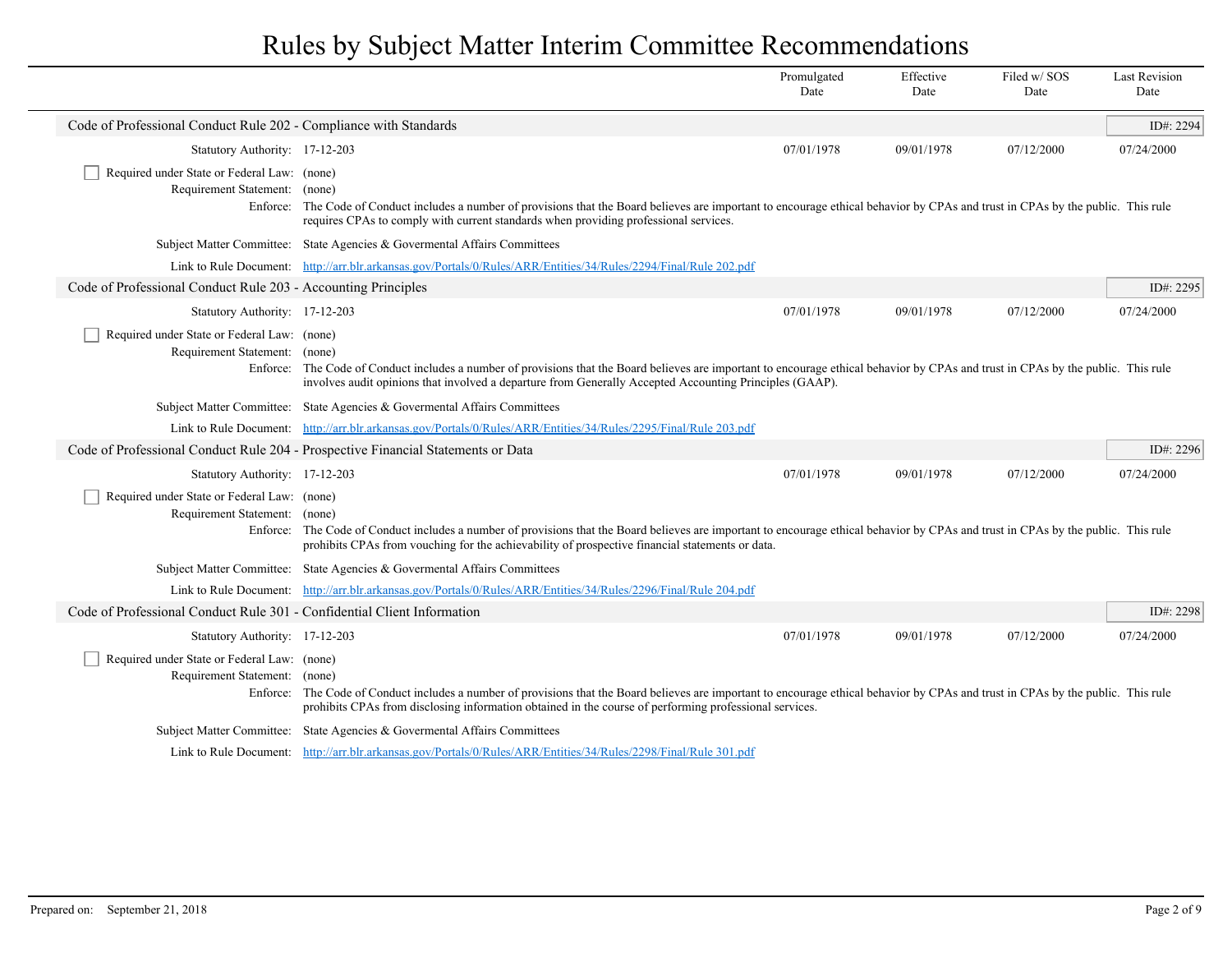|                                                                              |                                                                                                                                                                                                                                                                                                | Promulgated<br>Date | Effective<br>Date | Filed w/SOS<br>Date | <b>Last Revision</b><br>Date |  |
|------------------------------------------------------------------------------|------------------------------------------------------------------------------------------------------------------------------------------------------------------------------------------------------------------------------------------------------------------------------------------------|---------------------|-------------------|---------------------|------------------------------|--|
| Code of Professional Conduct Rule 202 - Compliance with Standards            |                                                                                                                                                                                                                                                                                                |                     |                   |                     | ID#: 2294                    |  |
| Statutory Authority: 17-12-203                                               |                                                                                                                                                                                                                                                                                                | 07/01/1978          | 09/01/1978        | 07/12/2000          | 07/24/2000                   |  |
| Required under State or Federal Law: (none)<br>Requirement Statement: (none) | Enforce: The Code of Conduct includes a number of provisions that the Board believes are important to encourage ethical behavior by CPAs and trust in CPAs by the public. This rule<br>requires CPAs to comply with current standards when providing professional services.                    |                     |                   |                     |                              |  |
|                                                                              | Subject Matter Committee: State Agencies & Governental Affairs Committees                                                                                                                                                                                                                      |                     |                   |                     |                              |  |
|                                                                              | Link to Rule Document: http://arr.blr.arkansas.gov/Portals/0/Rules/ARR/Entities/34/Rules/2294/Final/Rule 202.pdf                                                                                                                                                                               |                     |                   |                     |                              |  |
| Code of Professional Conduct Rule 203 - Accounting Principles                |                                                                                                                                                                                                                                                                                                |                     |                   |                     | ID#: 2295                    |  |
| Statutory Authority: 17-12-203                                               |                                                                                                                                                                                                                                                                                                | 07/01/1978          | 09/01/1978        | 07/12/2000          | 07/24/2000                   |  |
| Required under State or Federal Law: (none)<br>Requirement Statement: (none) | Enforce: The Code of Conduct includes a number of provisions that the Board believes are important to encourage ethical behavior by CPAs and trust in CPAs by the public. This rule<br>involves audit opinions that involved a departure from Generally Accepted Accounting Principles (GAAP). |                     |                   |                     |                              |  |
|                                                                              | Subject Matter Committee: State Agencies & Governental Affairs Committees                                                                                                                                                                                                                      |                     |                   |                     |                              |  |
|                                                                              | Link to Rule Document: http://arr.blr.arkansas.gov/Portals/0/Rules/ARR/Entities/34/Rules/2295/Final/Rule 203.pdf                                                                                                                                                                               |                     |                   |                     |                              |  |
|                                                                              | Code of Professional Conduct Rule 204 - Prospective Financial Statements or Data                                                                                                                                                                                                               |                     |                   |                     | ID#: 2296                    |  |
| Statutory Authority: 17-12-203                                               |                                                                                                                                                                                                                                                                                                | 07/01/1978          | 09/01/1978        | 07/12/2000          | 07/24/2000                   |  |
| Required under State or Federal Law: (none)<br>Requirement Statement: (none) | Enforce: The Code of Conduct includes a number of provisions that the Board believes are important to encourage ethical behavior by CPAs and trust in CPAs by the public. This rule<br>prohibits CPAs from vouching for the achievability of prospective financial statements or data.         |                     |                   |                     |                              |  |
|                                                                              | Subject Matter Committee: State Agencies & Governental Affairs Committees                                                                                                                                                                                                                      |                     |                   |                     |                              |  |
|                                                                              | Link to Rule Document: http://arr.blr.arkansas.gov/Portals/0/Rules/ARR/Entities/34/Rules/2296/Final/Rule 204.pdf                                                                                                                                                                               |                     |                   |                     |                              |  |
| Code of Professional Conduct Rule 301 - Confidential Client Information      |                                                                                                                                                                                                                                                                                                |                     |                   |                     | ID#: 2298                    |  |
| Statutory Authority: 17-12-203                                               |                                                                                                                                                                                                                                                                                                | 07/01/1978          | 09/01/1978        | 07/12/2000          | 07/24/2000                   |  |
| Required under State or Federal Law: (none)<br>Requirement Statement: (none) | Enforce: The Code of Conduct includes a number of provisions that the Board believes are important to encourage ethical behavior by CPAs and trust in CPAs by the public. This rule<br>prohibits CPAs from disclosing information obtained in the course of performing professional services.  |                     |                   |                     |                              |  |
|                                                                              | Subject Matter Committee: State Agencies & Governental Affairs Committees                                                                                                                                                                                                                      |                     |                   |                     |                              |  |
|                                                                              | Link to Rule Document: http://arr.blr.arkansas.gov/Portals/0/Rules/ARR/Entities/34/Rules/2298/Final/Rule 301.pdf                                                                                                                                                                               |                     |                   |                     |                              |  |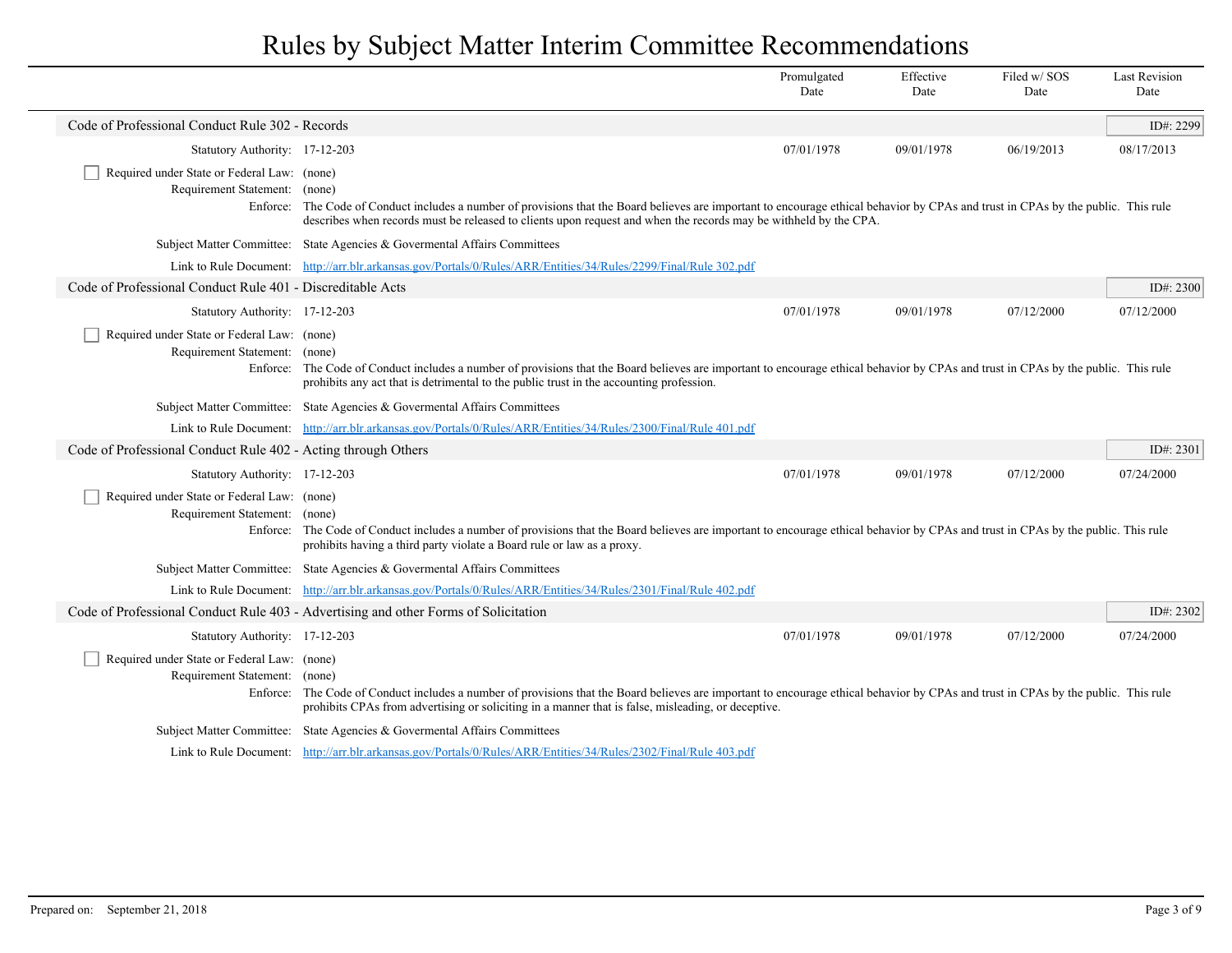|                                                                                          |                                                                                                                                                                                                                                                                                                | Promulgated<br>Date | Effective<br>Date | Filed w/SOS<br>Date | <b>Last Revision</b><br>Date |  |
|------------------------------------------------------------------------------------------|------------------------------------------------------------------------------------------------------------------------------------------------------------------------------------------------------------------------------------------------------------------------------------------------|---------------------|-------------------|---------------------|------------------------------|--|
| Code of Professional Conduct Rule 302 - Records                                          |                                                                                                                                                                                                                                                                                                |                     |                   |                     | ID#: 2299                    |  |
| Statutory Authority: 17-12-203                                                           |                                                                                                                                                                                                                                                                                                | 07/01/1978          | 09/01/1978        | 06/19/2013          | 08/17/2013                   |  |
| Required under State or Federal Law: (none)<br>Requirement Statement: (none)<br>Enforce: | The Code of Conduct includes a number of provisions that the Board believes are important to encourage ethical behavior by CPAs and trust in CPAs by the public. This rule<br>describes when records must be released to clients upon request and when the records may be withheld by the CPA. |                     |                   |                     |                              |  |
|                                                                                          | Subject Matter Committee: State Agencies & Governental Affairs Committees                                                                                                                                                                                                                      |                     |                   |                     |                              |  |
|                                                                                          | Link to Rule Document: http://arr.blr.arkansas.gov/Portals/0/Rules/ARR/Entities/34/Rules/2299/Final/Rule 302.pdf                                                                                                                                                                               |                     |                   |                     |                              |  |
| Code of Professional Conduct Rule 401 - Discreditable Acts                               |                                                                                                                                                                                                                                                                                                |                     |                   |                     | ID#: $2300$                  |  |
| Statutory Authority: 17-12-203                                                           |                                                                                                                                                                                                                                                                                                | 07/01/1978          | 09/01/1978        | 07/12/2000          | 07/12/2000                   |  |
| Required under State or Federal Law: (none)<br>Requirement Statement: (none)             | Enforce: The Code of Conduct includes a number of provisions that the Board believes are important to encourage ethical behavior by CPAs and trust in CPAs by the public. This rule<br>prohibits any act that is detrimental to the public trust in the accounting profession.                 |                     |                   |                     |                              |  |
|                                                                                          | Subject Matter Committee: State Agencies & Governental Affairs Committees                                                                                                                                                                                                                      |                     |                   |                     |                              |  |
|                                                                                          | Link to Rule Document: http://arr.blr.arkansas.gov/Portals/0/Rules/ARR/Entities/34/Rules/2300/Final/Rule 401.pdf                                                                                                                                                                               |                     |                   |                     |                              |  |
| Code of Professional Conduct Rule 402 - Acting through Others                            |                                                                                                                                                                                                                                                                                                |                     |                   |                     | ID#: $2301$                  |  |
| Statutory Authority: 17-12-203                                                           |                                                                                                                                                                                                                                                                                                | 07/01/1978          | 09/01/1978        | 07/12/2000          | 07/24/2000                   |  |
| Required under State or Federal Law: (none)<br>Requirement Statement:                    | (none)<br>Enforce: The Code of Conduct includes a number of provisions that the Board believes are important to encourage ethical behavior by CPAs and trust in CPAs by the public. This rule<br>prohibits having a third party violate a Board rule or law as a proxy.                        |                     |                   |                     |                              |  |
|                                                                                          | Subject Matter Committee: State Agencies & Governental Affairs Committees                                                                                                                                                                                                                      |                     |                   |                     |                              |  |
|                                                                                          | Link to Rule Document: http://arr.blr.arkansas.gov/Portals/0/Rules/ARR/Entities/34/Rules/2301/Final/Rule 402.pdf                                                                                                                                                                               |                     |                   |                     |                              |  |
|                                                                                          | Code of Professional Conduct Rule 403 - Advertising and other Forms of Solicitation                                                                                                                                                                                                            |                     |                   |                     | ID#: 2302                    |  |
| Statutory Authority: 17-12-203                                                           |                                                                                                                                                                                                                                                                                                | 07/01/1978          | 09/01/1978        | 07/12/2000          | 07/24/2000                   |  |
| Required under State or Federal Law: (none)<br>Requirement Statement: (none)             | Enforce: The Code of Conduct includes a number of provisions that the Board believes are important to encourage ethical behavior by CPAs and trust in CPAs by the public. This rule<br>prohibits CPAs from advertising or soliciting in a manner that is false, misleading, or deceptive.      |                     |                   |                     |                              |  |
|                                                                                          | Subject Matter Committee: State Agencies & Governental Affairs Committees                                                                                                                                                                                                                      |                     |                   |                     |                              |  |
|                                                                                          | Link to Rule Document: http://arr.blr.arkansas.gov/Portals/0/Rules/ARR/Entities/34/Rules/2302/Final/Rule 403.pdf                                                                                                                                                                               |                     |                   |                     |                              |  |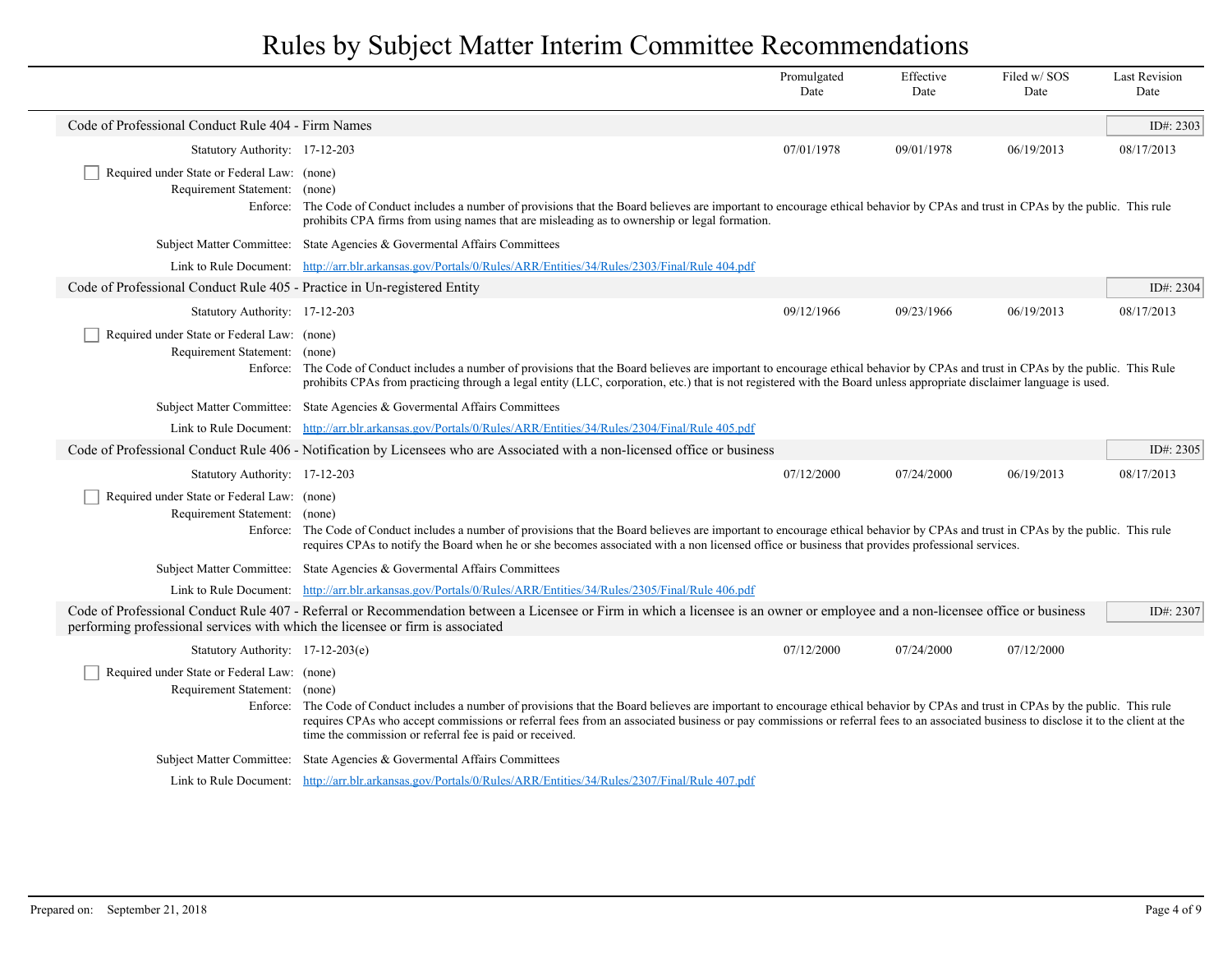|                                                                                |                                                                                                                                                                                                                                                                                                                                                                                                                                        | Promulgated<br>Date | Effective<br>Date | Filed w/SOS<br>Date | <b>Last Revision</b><br>Date |
|--------------------------------------------------------------------------------|----------------------------------------------------------------------------------------------------------------------------------------------------------------------------------------------------------------------------------------------------------------------------------------------------------------------------------------------------------------------------------------------------------------------------------------|---------------------|-------------------|---------------------|------------------------------|
| Code of Professional Conduct Rule 404 - Firm Names                             |                                                                                                                                                                                                                                                                                                                                                                                                                                        |                     |                   |                     | ID#: 2303                    |
| Statutory Authority: 17-12-203                                                 |                                                                                                                                                                                                                                                                                                                                                                                                                                        | 07/01/1978          | 09/01/1978        | 06/19/2013          | 08/17/2013                   |
| Required under State or Federal Law: (none)<br>Requirement Statement: (none)   | Enforce: The Code of Conduct includes a number of provisions that the Board believes are important to encourage ethical behavior by CPAs and trust in CPAs by the public. This rule<br>prohibits CPA firms from using names that are misleading as to ownership or legal formation.                                                                                                                                                    |                     |                   |                     |                              |
|                                                                                | Subject Matter Committee: State Agencies & Governental Affairs Committees                                                                                                                                                                                                                                                                                                                                                              |                     |                   |                     |                              |
|                                                                                | Link to Rule Document: http://arr.blr.arkansas.gov/Portals/0/Rules/ARR/Entities/34/Rules/2303/Final/Rule 404.pdf                                                                                                                                                                                                                                                                                                                       |                     |                   |                     |                              |
| Code of Professional Conduct Rule 405 - Practice in Un-registered Entity       |                                                                                                                                                                                                                                                                                                                                                                                                                                        |                     |                   |                     | ID#: 2304                    |
| Statutory Authority: 17-12-203                                                 |                                                                                                                                                                                                                                                                                                                                                                                                                                        | 09/12/1966          | 09/23/1966        | 06/19/2013          | 08/17/2013                   |
| Required under State or Federal Law: (none)<br>Requirement Statement: (none)   | Enforce: The Code of Conduct includes a number of provisions that the Board believes are important to encourage ethical behavior by CPAs and trust in CPAs by the public. This Rule<br>prohibits CPAs from practicing through a legal entity (LLC, corporation, etc.) that is not registered with the Board unless appropriate disclaimer language is used.                                                                            |                     |                   |                     |                              |
|                                                                                | Subject Matter Committee: State Agencies & Governental Affairs Committees                                                                                                                                                                                                                                                                                                                                                              |                     |                   |                     |                              |
|                                                                                | Link to Rule Document: http://arr.blr.arkansas.gov/Portals/0/Rules/ARR/Entities/34/Rules/2304/Final/Rule 405.pdf                                                                                                                                                                                                                                                                                                                       |                     |                   |                     |                              |
|                                                                                | Code of Professional Conduct Rule 406 - Notification by Licensees who are Associated with a non-licensed office or business                                                                                                                                                                                                                                                                                                            |                     |                   |                     | ID#: 2305                    |
| Statutory Authority: 17-12-203                                                 |                                                                                                                                                                                                                                                                                                                                                                                                                                        | 07/12/2000          | 07/24/2000        | 06/19/2013          | 08/17/2013                   |
| Required under State or Federal Law: (none)<br>Requirement Statement: (none)   | Enforce: The Code of Conduct includes a number of provisions that the Board believes are important to encourage ethical behavior by CPAs and trust in CPAs by the public. This rule<br>requires CPAs to notify the Board when he or she becomes associated with a non licensed office or business that provides professional services.                                                                                                 |                     |                   |                     |                              |
|                                                                                | Subject Matter Committee: State Agencies & Governental Affairs Committees                                                                                                                                                                                                                                                                                                                                                              |                     |                   |                     |                              |
|                                                                                | Link to Rule Document: http://arr.blr.arkansas.gov/Portals/0/Rules/ARR/Entities/34/Rules/2305/Final/Rule 406.pdf                                                                                                                                                                                                                                                                                                                       |                     |                   |                     |                              |
| performing professional services with which the licensee or firm is associated | Code of Professional Conduct Rule 407 - Referral or Recommendation between a Licensee or Firm in which a licensee is an owner or employee and a non-licensee office or business                                                                                                                                                                                                                                                        |                     |                   |                     | ID#: 2307                    |
| Statutory Authority: 17-12-203(e)                                              |                                                                                                                                                                                                                                                                                                                                                                                                                                        | 07/12/2000          | 07/24/2000        | 07/12/2000          |                              |
| Required under State or Federal Law: (none)<br>Requirement Statement: (none)   | Enforce: The Code of Conduct includes a number of provisions that the Board believes are important to encourage ethical behavior by CPAs and trust in CPAs by the public. This rule<br>requires CPAs who accept commissions or referral fees from an associated business or pay commissions or referral fees to an associated business to disclose it to the client at the<br>time the commission or referral fee is paid or received. |                     |                   |                     |                              |
|                                                                                | Subject Matter Committee: State Agencies & Governental Affairs Committees                                                                                                                                                                                                                                                                                                                                                              |                     |                   |                     |                              |
|                                                                                | Link to Rule Document: http://arr.blr.arkansas.gov/Portals/0/Rules/ARR/Entities/34/Rules/2307/Final/Rule 407.pdf                                                                                                                                                                                                                                                                                                                       |                     |                   |                     |                              |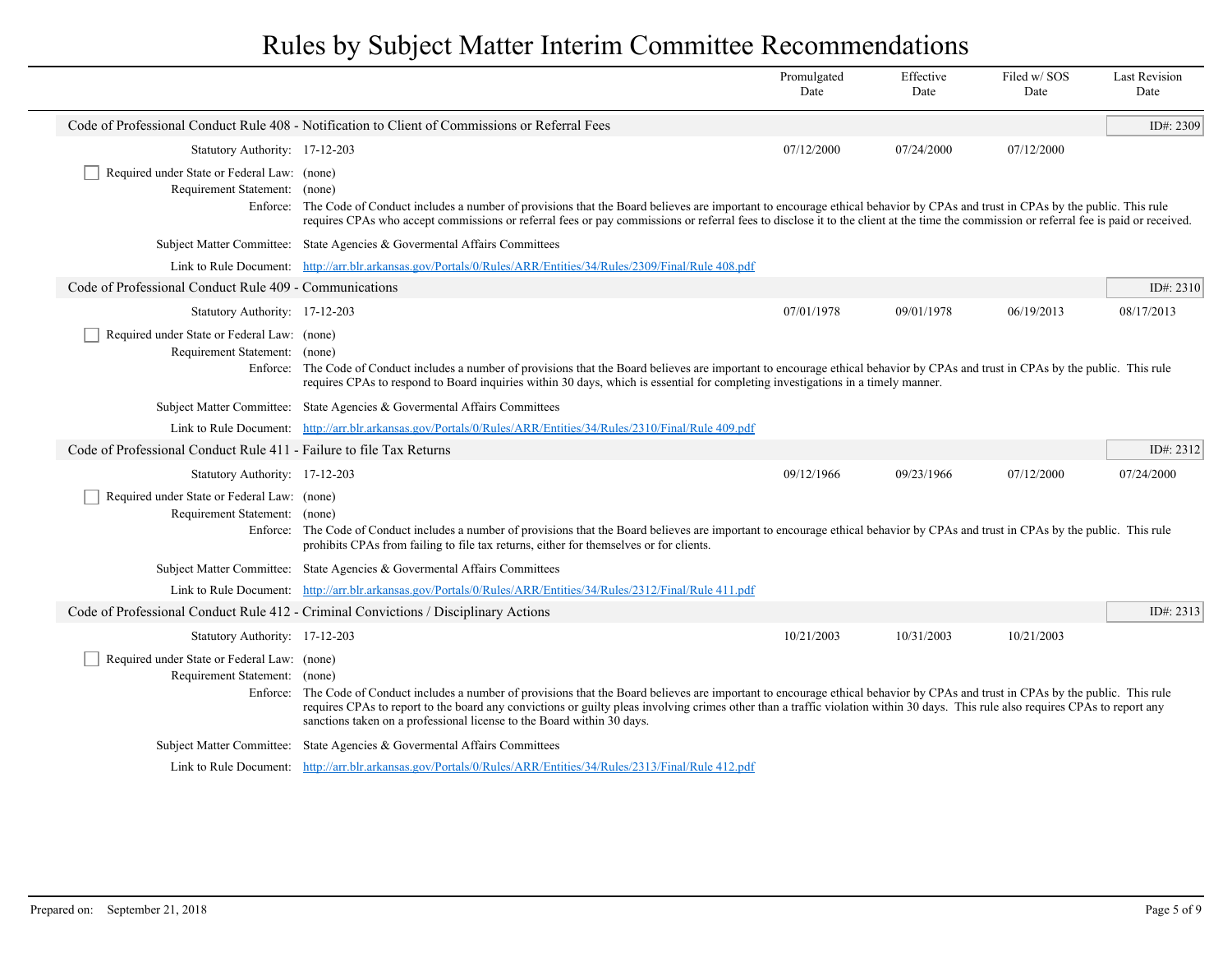|                                                                              |                                                                                                                                                                                                                                                                                                                                                                                                                                                  | Promulgated<br>Date | Effective<br>Date | Filed w/SOS<br>Date | <b>Last Revision</b><br>Date |
|------------------------------------------------------------------------------|--------------------------------------------------------------------------------------------------------------------------------------------------------------------------------------------------------------------------------------------------------------------------------------------------------------------------------------------------------------------------------------------------------------------------------------------------|---------------------|-------------------|---------------------|------------------------------|
|                                                                              | Code of Professional Conduct Rule 408 - Notification to Client of Commissions or Referral Fees                                                                                                                                                                                                                                                                                                                                                   |                     |                   |                     | ID#: 2309                    |
| Statutory Authority: 17-12-203                                               |                                                                                                                                                                                                                                                                                                                                                                                                                                                  | 07/12/2000          | 07/24/2000        | 07/12/2000          |                              |
| Required under State or Federal Law: (none)                                  |                                                                                                                                                                                                                                                                                                                                                                                                                                                  |                     |                   |                     |                              |
| Requirement Statement: (none)                                                | Enforce: The Code of Conduct includes a number of provisions that the Board believes are important to encourage ethical behavior by CPAs and trust in CPAs by the public. This rule<br>requires CPAs who accept commissions or referral fees or pay commissions or referral fees to disclose it to the client at the time the commission or referral fee is paid or received.                                                                    |                     |                   |                     |                              |
|                                                                              | Subject Matter Committee: State Agencies & Governental Affairs Committees                                                                                                                                                                                                                                                                                                                                                                        |                     |                   |                     |                              |
|                                                                              | Link to Rule Document: http://arr.blr.arkansas.gov/Portals/0/Rules/ARR/Entities/34/Rules/2309/Final/Rule 408.pdf                                                                                                                                                                                                                                                                                                                                 |                     |                   |                     |                              |
| Code of Professional Conduct Rule 409 - Communications                       |                                                                                                                                                                                                                                                                                                                                                                                                                                                  |                     |                   |                     | ID#: $2310$                  |
| Statutory Authority: 17-12-203                                               |                                                                                                                                                                                                                                                                                                                                                                                                                                                  | 07/01/1978          | 09/01/1978        | 06/19/2013          | 08/17/2013                   |
| Required under State or Federal Law: (none)<br>Requirement Statement: (none) | Enforce: The Code of Conduct includes a number of provisions that the Board believes are important to encourage ethical behavior by CPAs and trust in CPAs by the public. This rule<br>requires CPAs to respond to Board inquiries within 30 days, which is essential for completing investigations in a timely manner.                                                                                                                          |                     |                   |                     |                              |
|                                                                              | Subject Matter Committee: State Agencies & Governental Affairs Committees                                                                                                                                                                                                                                                                                                                                                                        |                     |                   |                     |                              |
|                                                                              | Link to Rule Document: http://arr.blr.arkansas.gov/Portals/0/Rules/ARR/Entities/34/Rules/2310/Final/Rule 409.pdf                                                                                                                                                                                                                                                                                                                                 |                     |                   |                     |                              |
| Code of Professional Conduct Rule 411 - Failure to file Tax Returns          |                                                                                                                                                                                                                                                                                                                                                                                                                                                  |                     |                   |                     | ID#: $2312$                  |
| Statutory Authority: 17-12-203                                               |                                                                                                                                                                                                                                                                                                                                                                                                                                                  | 09/12/1966          | 09/23/1966        | 07/12/2000          | 07/24/2000                   |
| Required under State or Federal Law: (none)<br>Requirement Statement: (none) | Enforce: The Code of Conduct includes a number of provisions that the Board believes are important to encourage ethical behavior by CPAs and trust in CPAs by the public. This rule<br>prohibits CPAs from failing to file tax returns, either for themselves or for clients.                                                                                                                                                                    |                     |                   |                     |                              |
|                                                                              | Subject Matter Committee: State Agencies & Governental Affairs Committees                                                                                                                                                                                                                                                                                                                                                                        |                     |                   |                     |                              |
|                                                                              | Link to Rule Document: http://arr.blr.arkansas.gov/Portals/0/Rules/ARR/Entities/34/Rules/2312/Final/Rule 411.pdf                                                                                                                                                                                                                                                                                                                                 |                     |                   |                     |                              |
|                                                                              | Code of Professional Conduct Rule 412 - Criminal Convictions / Disciplinary Actions                                                                                                                                                                                                                                                                                                                                                              |                     |                   |                     | ID#: 2313                    |
| Statutory Authority: 17-12-203                                               |                                                                                                                                                                                                                                                                                                                                                                                                                                                  | 10/21/2003          | 10/31/2003        | 10/21/2003          |                              |
| Required under State or Federal Law: (none)<br>Requirement Statement: (none) | Enforce: The Code of Conduct includes a number of provisions that the Board believes are important to encourage ethical behavior by CPAs and trust in CPAs by the public. This rule<br>requires CPAs to report to the board any convictions or guilty pleas involving crimes other than a traffic violation within 30 days. This rule also requires CPAs to report any<br>sanctions taken on a professional license to the Board within 30 days. |                     |                   |                     |                              |
|                                                                              | Subject Matter Committee: State Agencies & Governental Affairs Committees                                                                                                                                                                                                                                                                                                                                                                        |                     |                   |                     |                              |
|                                                                              | Link to Rule Document: http://arr.blr.arkansas.gov/Portals/0/Rules/ARR/Entities/34/Rules/2313/Final/Rule 412.pdf                                                                                                                                                                                                                                                                                                                                 |                     |                   |                     |                              |

 $\overline{\phantom{a}}$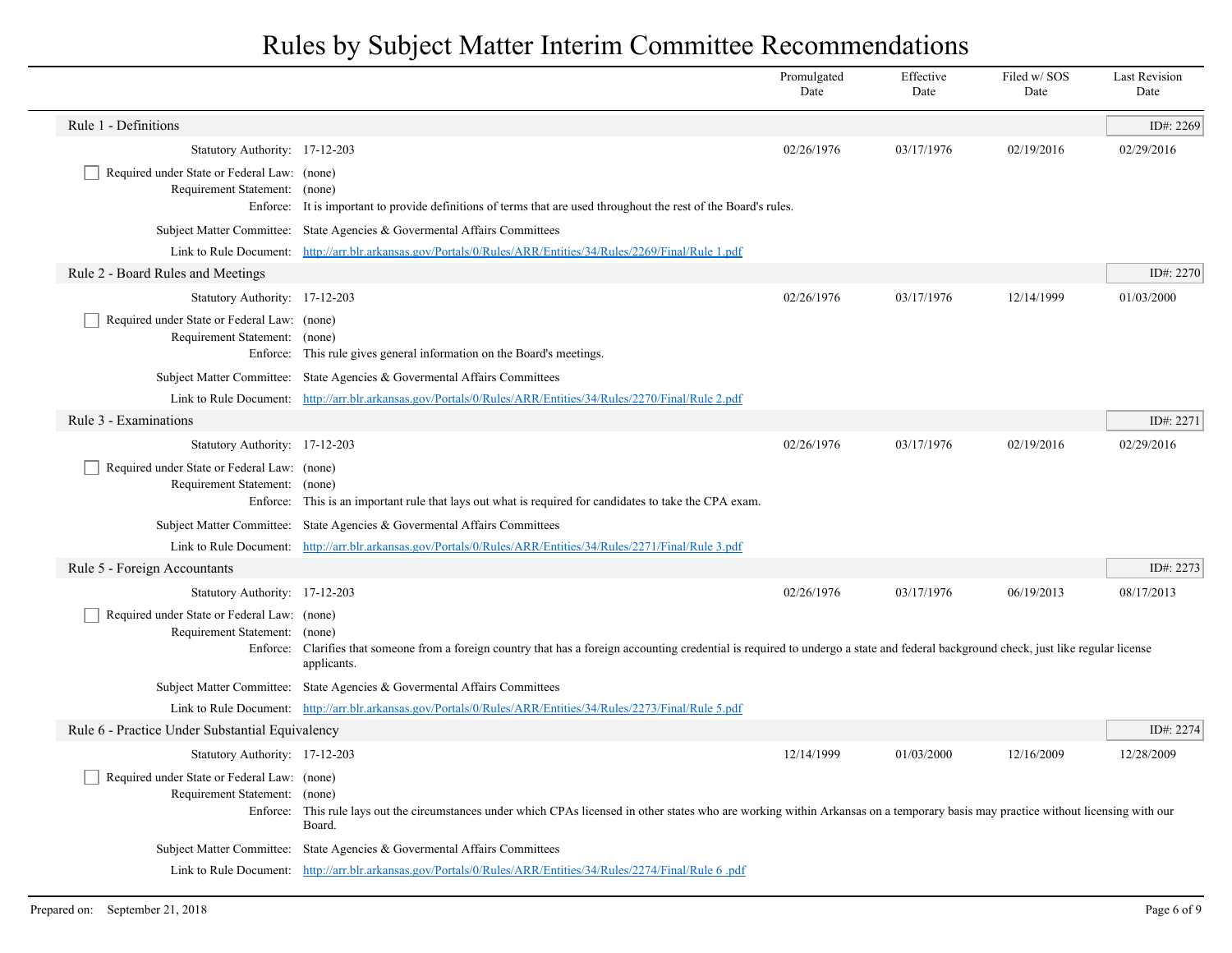|                                                                                   |                                                                                                                                                                                                                 | Promulgated<br>Date | Effective<br>Date | Filed w/SOS<br>Date | <b>Last Revision</b><br>Date |
|-----------------------------------------------------------------------------------|-----------------------------------------------------------------------------------------------------------------------------------------------------------------------------------------------------------------|---------------------|-------------------|---------------------|------------------------------|
| Rule 1 - Definitions                                                              |                                                                                                                                                                                                                 |                     |                   |                     | ID#: 2269                    |
| Statutory Authority: 17-12-203                                                    |                                                                                                                                                                                                                 | 02/26/1976          | 03/17/1976        | 02/19/2016          | 02/29/2016                   |
| Required under State or Federal Law: (none)<br>Requirement Statement:<br>Enforce: | (none)<br>It is important to provide definitions of terms that are used throughout the rest of the Board's rules.                                                                                               |                     |                   |                     |                              |
| <b>Subject Matter Committee:</b>                                                  | State Agencies & Governental Affairs Committees                                                                                                                                                                 |                     |                   |                     |                              |
|                                                                                   | Link to Rule Document: http://arr.blr.arkansas.gov/Portals/0/Rules/ARR/Entities/34/Rules/2269/Final/Rule 1.pdf                                                                                                  |                     |                   |                     |                              |
| Rule 2 - Board Rules and Meetings                                                 |                                                                                                                                                                                                                 |                     |                   |                     | ID#: 2270                    |
| Statutory Authority: 17-12-203                                                    |                                                                                                                                                                                                                 | 02/26/1976          | 03/17/1976        | 12/14/1999          | 01/03/2000                   |
| Required under State or Federal Law: (none)<br>Requirement Statement:<br>Enforce: | (none)<br>This rule gives general information on the Board's meetings.                                                                                                                                          |                     |                   |                     |                              |
|                                                                                   | Subject Matter Committee: State Agencies & Governental Affairs Committees                                                                                                                                       |                     |                   |                     |                              |
|                                                                                   | Link to Rule Document: http://arr.blr.arkansas.gov/Portals/0/Rules/ARR/Entities/34/Rules/2270/Final/Rule 2.pdf                                                                                                  |                     |                   |                     |                              |
| Rule 3 - Examinations                                                             |                                                                                                                                                                                                                 |                     |                   |                     | ID#: 2271                    |
| Statutory Authority: 17-12-203                                                    |                                                                                                                                                                                                                 | 02/26/1976          | 03/17/1976        | 02/19/2016          | 02/29/2016                   |
| Required under State or Federal Law: (none)<br>Requirement Statement:<br>Enforce: | (none)<br>This is an important rule that lays out what is required for candidates to take the CPA exam.                                                                                                         |                     |                   |                     |                              |
|                                                                                   | Subject Matter Committee: State Agencies & Governental Affairs Committees                                                                                                                                       |                     |                   |                     |                              |
|                                                                                   | Link to Rule Document: http://arr.blr.arkansas.gov/Portals/0/Rules/ARR/Entities/34/Rules/2271/Final/Rule 3.pdf                                                                                                  |                     |                   |                     |                              |
| Rule 5 - Foreign Accountants                                                      |                                                                                                                                                                                                                 |                     |                   |                     | ID#: 2273                    |
| Statutory Authority: 17-12-203                                                    |                                                                                                                                                                                                                 | 02/26/1976          | 03/17/1976        | 06/19/2013          | 08/17/2013                   |
| Required under State or Federal Law: (none)<br>Requirement Statement:             | (none)<br>Enforce: Clarifies that someone from a foreign country that has a foreign accounting credential is required to undergo a state and federal background check, just like regular license<br>applicants. |                     |                   |                     |                              |
|                                                                                   | Subject Matter Committee: State Agencies & Governental Affairs Committees                                                                                                                                       |                     |                   |                     |                              |
|                                                                                   | Link to Rule Document: http://arr.blr.arkansas.gov/Portals/0/Rules/ARR/Entities/34/Rules/2273/Final/Rule 5.pdf                                                                                                  |                     |                   |                     |                              |
| Rule 6 - Practice Under Substantial Equivalency                                   |                                                                                                                                                                                                                 |                     |                   |                     | ID#: 2274                    |
| Statutory Authority: 17-12-203                                                    |                                                                                                                                                                                                                 | 12/14/1999          | 01/03/2000        | 12/16/2009          | 12/28/2009                   |
| Required under State or Federal Law: (none)<br>Requirement Statement:<br>Enforce: | (none)<br>This rule lays out the circumstances under which CPAs licensed in other states who are working within Arkansas on a temporary basis may practice without licensing with our<br>Board.                 |                     |                   |                     |                              |
| <b>Subject Matter Committee:</b>                                                  | State Agencies & Govermental Affairs Committees                                                                                                                                                                 |                     |                   |                     |                              |
|                                                                                   | Link to Rule Document: http://arr.blr.arkansas.gov/Portals/0/Rules/ARR/Entities/34/Rules/2274/Final/Rule 6.pdf                                                                                                  |                     |                   |                     |                              |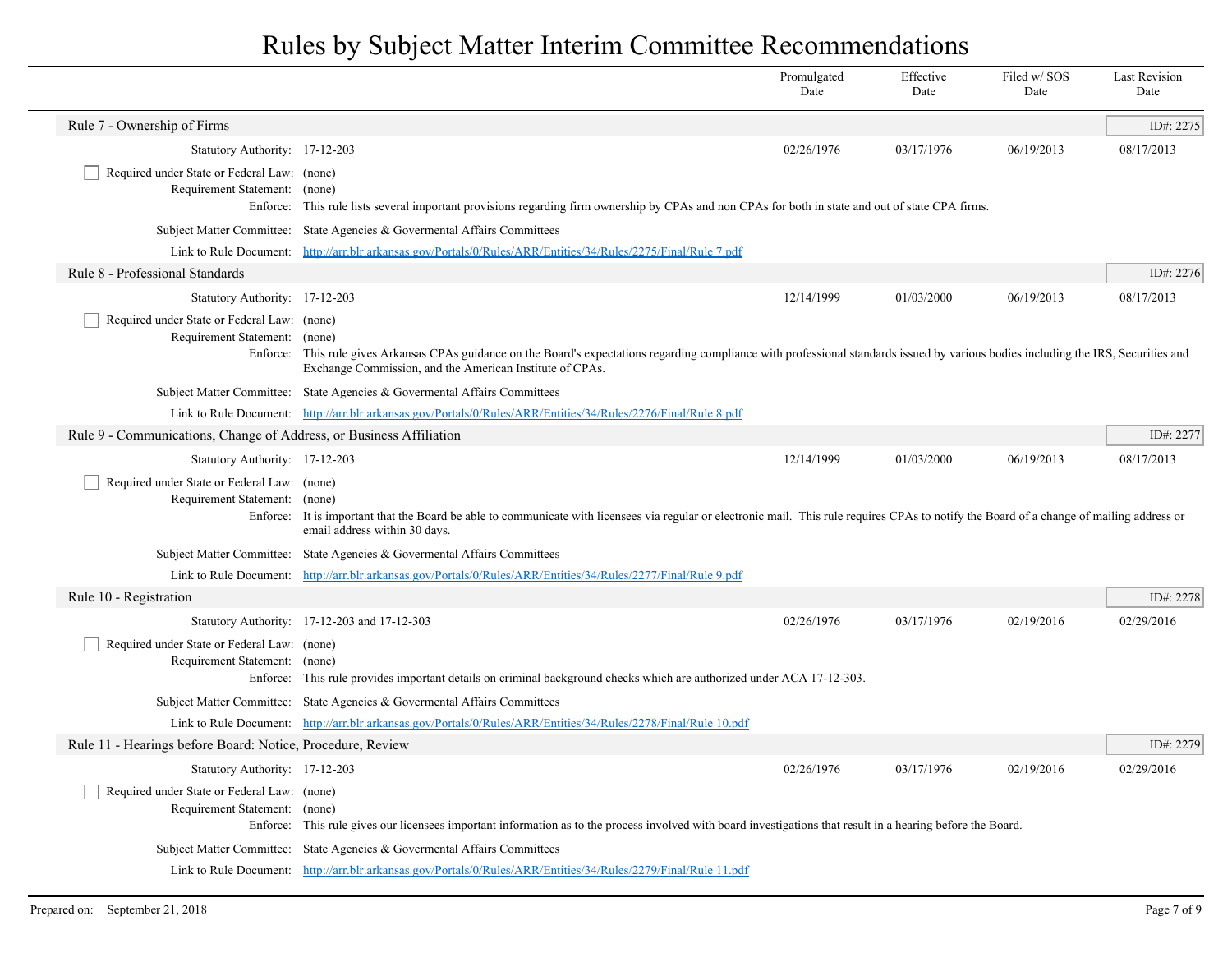|                                                                                          |                                                                                                                                                                                                                                                     | Promulgated<br>Date | Effective<br>Date | Filed w/SOS<br>Date | <b>Last Revision</b><br>Date |
|------------------------------------------------------------------------------------------|-----------------------------------------------------------------------------------------------------------------------------------------------------------------------------------------------------------------------------------------------------|---------------------|-------------------|---------------------|------------------------------|
| Rule 7 - Ownership of Firms                                                              |                                                                                                                                                                                                                                                     |                     |                   |                     | ID#: 2275                    |
| Statutory Authority: 17-12-203                                                           |                                                                                                                                                                                                                                                     | 02/26/1976          | 03/17/1976        | 06/19/2013          | 08/17/2013                   |
| Required under State or Federal Law: (none)<br>Requirement Statement: (none)<br>Enforce: | This rule lists several important provisions regarding firm ownership by CPAs and non CPAs for both in state and out of state CPA firms.                                                                                                            |                     |                   |                     |                              |
|                                                                                          | Subject Matter Committee: State Agencies & Governental Affairs Committees                                                                                                                                                                           |                     |                   |                     |                              |
|                                                                                          | Link to Rule Document: http://arr.blr.arkansas.gov/Portals/0/Rules/ARR/Entities/34/Rules/2275/Final/Rule 7.pdf                                                                                                                                      |                     |                   |                     |                              |
| Rule 8 - Professional Standards                                                          |                                                                                                                                                                                                                                                     |                     |                   |                     | ID#: 2276                    |
| Statutory Authority: 17-12-203                                                           |                                                                                                                                                                                                                                                     | 12/14/1999          | 01/03/2000        | 06/19/2013          | 08/17/2013                   |
| Required under State or Federal Law: (none)<br>Requirement Statement: (none)             | Enforce: This rule gives Arkansas CPAs guidance on the Board's expectations regarding compliance with professional standards issued by various bodies including the IRS, Securities and<br>Exchange Commission, and the American Institute of CPAs. |                     |                   |                     |                              |
|                                                                                          | Subject Matter Committee: State Agencies & Governental Affairs Committees                                                                                                                                                                           |                     |                   |                     |                              |
|                                                                                          | Link to Rule Document: http://arr.blr.arkansas.gov/Portals/0/Rules/ARR/Entities/34/Rules/2276/Final/Rule 8.pdf                                                                                                                                      |                     |                   |                     |                              |
| Rule 9 - Communications, Change of Address, or Business Affiliation                      |                                                                                                                                                                                                                                                     |                     |                   |                     | ID#: 2277                    |
| Statutory Authority: 17-12-203                                                           |                                                                                                                                                                                                                                                     | 12/14/1999          | 01/03/2000        | 06/19/2013          | 08/17/2013                   |
| Required under State or Federal Law: (none)<br>Requirement Statement: (none)             | Enforce: It is important that the Board be able to communicate with licensees via regular or electronic mail. This rule requires CPAs to notify the Board of a change of mailing address or<br>email address within 30 days.                        |                     |                   |                     |                              |
|                                                                                          | Subject Matter Committee: State Agencies & Governental Affairs Committees                                                                                                                                                                           |                     |                   |                     |                              |
|                                                                                          | Link to Rule Document: http://arr.blr.arkansas.gov/Portals/0/Rules/ARR/Entities/34/Rules/2277/Final/Rule 9.pdf                                                                                                                                      |                     |                   |                     |                              |
| Rule 10 - Registration                                                                   |                                                                                                                                                                                                                                                     |                     |                   |                     | ID#: 2278                    |
|                                                                                          | Statutory Authority: 17-12-203 and 17-12-303                                                                                                                                                                                                        | 02/26/1976          | 03/17/1976        | 02/19/2016          | 02/29/2016                   |
| Required under State or Federal Law: (none)<br>Requirement Statement: (none)             | Enforce: This rule provides important details on criminal background checks which are authorized under ACA 17-12-303.                                                                                                                               |                     |                   |                     |                              |
|                                                                                          | Subject Matter Committee: State Agencies & Governental Affairs Committees                                                                                                                                                                           |                     |                   |                     |                              |
|                                                                                          | Link to Rule Document: http://arr.blr.arkansas.gov/Portals/0/Rules/ARR/Entities/34/Rules/2278/Final/Rule 10.pdf                                                                                                                                     |                     |                   |                     |                              |
| Rule 11 - Hearings before Board: Notice, Procedure, Review                               |                                                                                                                                                                                                                                                     |                     |                   |                     | ID#: 2279                    |
| Statutory Authority: 17-12-203                                                           |                                                                                                                                                                                                                                                     | 02/26/1976          | 03/17/1976        | 02/19/2016          | 02/29/2016                   |
| Required under State or Federal Law: (none)<br>Requirement Statement: (none)             | Enforce: This rule gives our licensees important information as to the process involved with board investigations that result in a hearing before the Board.                                                                                        |                     |                   |                     |                              |
|                                                                                          | Subject Matter Committee: State Agencies & Governental Affairs Committees                                                                                                                                                                           |                     |                   |                     |                              |
|                                                                                          | Link to Rule Document: http://arr.blr.arkansas.gov/Portals/0/Rules/ARR/Entities/34/Rules/2279/Final/Rule 11.pdf                                                                                                                                     |                     |                   |                     |                              |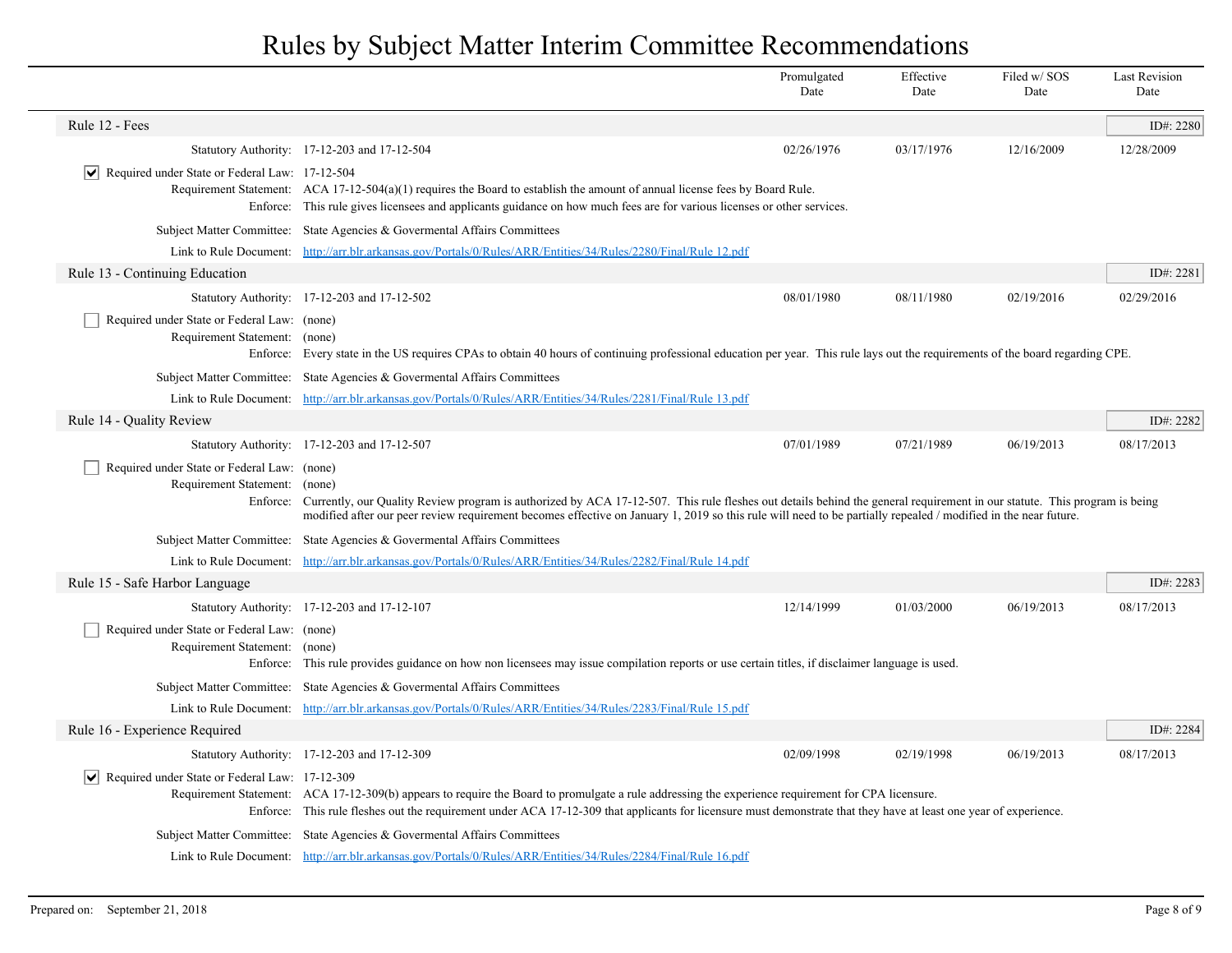|                                                                              |                                                                                                                                                                                                                                                                                                                                                               | Promulgated<br>Date | Effective<br>Date | Filed w/SOS<br>Date | <b>Last Revision</b><br>Date |
|------------------------------------------------------------------------------|---------------------------------------------------------------------------------------------------------------------------------------------------------------------------------------------------------------------------------------------------------------------------------------------------------------------------------------------------------------|---------------------|-------------------|---------------------|------------------------------|
| Rule 12 - Fees                                                               |                                                                                                                                                                                                                                                                                                                                                               |                     |                   |                     | ID#: 2280                    |
|                                                                              | Statutory Authority: 17-12-203 and 17-12-504                                                                                                                                                                                                                                                                                                                  | 02/26/1976          | 03/17/1976        | 12/16/2009          | 12/28/2009                   |
| $ \mathbf{v} $ Required under State or Federal Law: 17-12-504                | Requirement Statement: ACA 17-12-504(a)(1) requires the Board to establish the amount of annual license fees by Board Rule.<br>Enforce: This rule gives licensees and applicants guidance on how much fees are for various licenses or other services.                                                                                                        |                     |                   |                     |                              |
|                                                                              | Subject Matter Committee: State Agencies & Governental Affairs Committees                                                                                                                                                                                                                                                                                     |                     |                   |                     |                              |
|                                                                              | Link to Rule Document: http://arr.blr.arkansas.gov/Portals/0/Rules/ARR/Entities/34/Rules/2280/Final/Rule 12.pdf                                                                                                                                                                                                                                               |                     |                   |                     |                              |
| Rule 13 - Continuing Education                                               |                                                                                                                                                                                                                                                                                                                                                               |                     |                   |                     | ID#: 2281                    |
|                                                                              | Statutory Authority: 17-12-203 and 17-12-502                                                                                                                                                                                                                                                                                                                  | 08/01/1980          | 08/11/1980        | 02/19/2016          | 02/29/2016                   |
| Required under State or Federal Law: (none)<br>Requirement Statement: (none) | Enforce: Every state in the US requires CPAs to obtain 40 hours of continuing professional education per year. This rule lays out the requirements of the board regarding CPE.                                                                                                                                                                                |                     |                   |                     |                              |
| <b>Subject Matter Committee:</b>                                             | State Agencies & Governental Affairs Committees                                                                                                                                                                                                                                                                                                               |                     |                   |                     |                              |
|                                                                              | Link to Rule Document: http://arr.blr.arkansas.gov/Portals/0/Rules/ARR/Entities/34/Rules/2281/Final/Rule 13.pdf                                                                                                                                                                                                                                               |                     |                   |                     |                              |
| Rule 14 - Quality Review                                                     |                                                                                                                                                                                                                                                                                                                                                               |                     |                   |                     | ID#: 2282                    |
|                                                                              | Statutory Authority: 17-12-203 and 17-12-507                                                                                                                                                                                                                                                                                                                  | 07/01/1989          | 07/21/1989        | 06/19/2013          | 08/17/2013                   |
| Required under State or Federal Law: (none)<br>Requirement Statement:        | (none)<br>Enforce: Currently, our Quality Review program is authorized by ACA 17-12-507. This rule fleshes out details behind the general requirement in our statute. This program is being<br>modified after our peer review requirement becomes effective on January 1, 2019 so this rule will need to be partially repealed / modified in the near future. |                     |                   |                     |                              |
|                                                                              | Subject Matter Committee: State Agencies & Governental Affairs Committees                                                                                                                                                                                                                                                                                     |                     |                   |                     |                              |
|                                                                              | Link to Rule Document: http://arr.blr.arkansas.gov/Portals/0/Rules/ARR/Entities/34/Rules/2282/Final/Rule 14.pdf                                                                                                                                                                                                                                               |                     |                   |                     |                              |
| Rule 15 - Safe Harbor Language                                               |                                                                                                                                                                                                                                                                                                                                                               |                     |                   |                     | ID#: 2283                    |
|                                                                              | Statutory Authority: 17-12-203 and 17-12-107                                                                                                                                                                                                                                                                                                                  | 12/14/1999          | 01/03/2000        | 06/19/2013          | 08/17/2013                   |
| Required under State or Federal Law: (none)<br>Requirement Statement: (none) | Enforce: This rule provides guidance on how non licensees may issue compilation reports or use certain titles, if disclaimer language is used.                                                                                                                                                                                                                |                     |                   |                     |                              |
|                                                                              | Subject Matter Committee: State Agencies & Governental Affairs Committees                                                                                                                                                                                                                                                                                     |                     |                   |                     |                              |
|                                                                              | Link to Rule Document: http://arr.blr.arkansas.gov/Portals/0/Rules/ARR/Entities/34/Rules/2283/Final/Rule 15.pdf                                                                                                                                                                                                                                               |                     |                   |                     |                              |
| Rule 16 - Experience Required                                                |                                                                                                                                                                                                                                                                                                                                                               |                     |                   |                     | ID#: 2284                    |
|                                                                              | Statutory Authority: 17-12-203 and 17-12-309                                                                                                                                                                                                                                                                                                                  | 02/09/1998          | 02/19/1998        | 06/19/2013          | 08/17/2013                   |
| $ \mathbf{v} $ Required under State or Federal Law: 17-12-309                | Requirement Statement: ACA 17-12-309(b) appears to require the Board to promulgate a rule addressing the experience requirement for CPA licensure.<br>Enforce: This rule fleshes out the requirement under ACA 17-12-309 that applicants for licensure must demonstrate that they have at least one year of experience.                                       |                     |                   |                     |                              |
|                                                                              | Subject Matter Committee: State Agencies & Governental Affairs Committees                                                                                                                                                                                                                                                                                     |                     |                   |                     |                              |
|                                                                              | Link to Rule Document: http://arr.blr.arkansas.gov/Portals/0/Rules/ARR/Entities/34/Rules/2284/Final/Rule 16.pdf                                                                                                                                                                                                                                               |                     |                   |                     |                              |